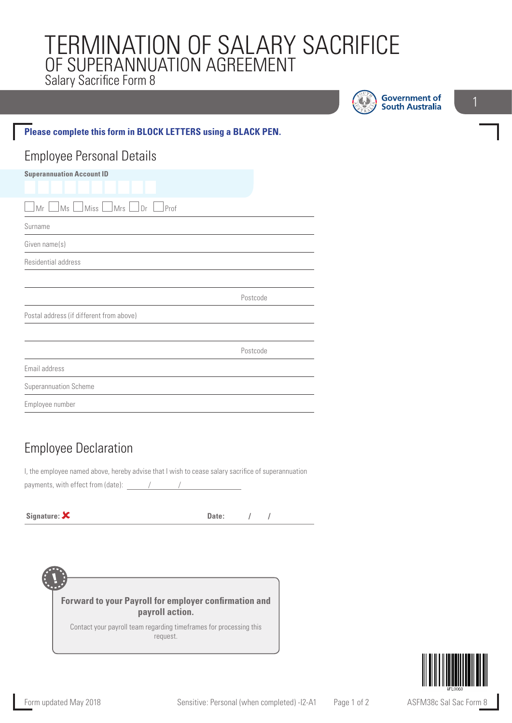# TERMINATION OF SALARY SACRIFICE OF SUPERANNUATION AGREEMENT Salary Sacrifice Form 8

U

**Government of South Australia** 

#### **Please complete this form in BLOCK LETTERS using a BLACK PEN.**

#### Employee Personal Details **Superannuation Account ID**

| $\Box$ Miss $\Box$ Mrs $\Box$ Dr $\Box$ Prof<br>$\Box$ Ms $\Box$<br>Mr |          |
|------------------------------------------------------------------------|----------|
| Surname                                                                |          |
| Given name(s)                                                          |          |
| Residential address                                                    |          |
|                                                                        |          |
|                                                                        | Postcode |
| Postal address (if different from above)                               |          |
|                                                                        |          |
|                                                                        | Postcode |
| Email address                                                          |          |
| Superannuation Scheme                                                  |          |
| Employee number                                                        |          |

### Employee Declaration

I, the employee named above, hereby advise that I wish to cease salary sacrifice of superannuation payments, with effect from (date):  $/$ 

**Signature:**  $\mathsf{X}$  **Date:**  $\mathsf{Z}$  **Date:**  $\mathsf{Z}$  **Date:**  $\mathsf{Z}$  **Date:**  $\mathsf{Z}$  **Date:**  $\mathsf{Z}$  **Date:**  $\mathsf{Z}$  **Date:**  $\mathsf{Z}$  **Date:**  $\mathsf{Z}$  **Date:**  $\mathsf{Z}$  **Date:**  $\mathsf{Z}$  **Date:**  $\mathsf{Z}$  **Date:**  $\mathsf{$